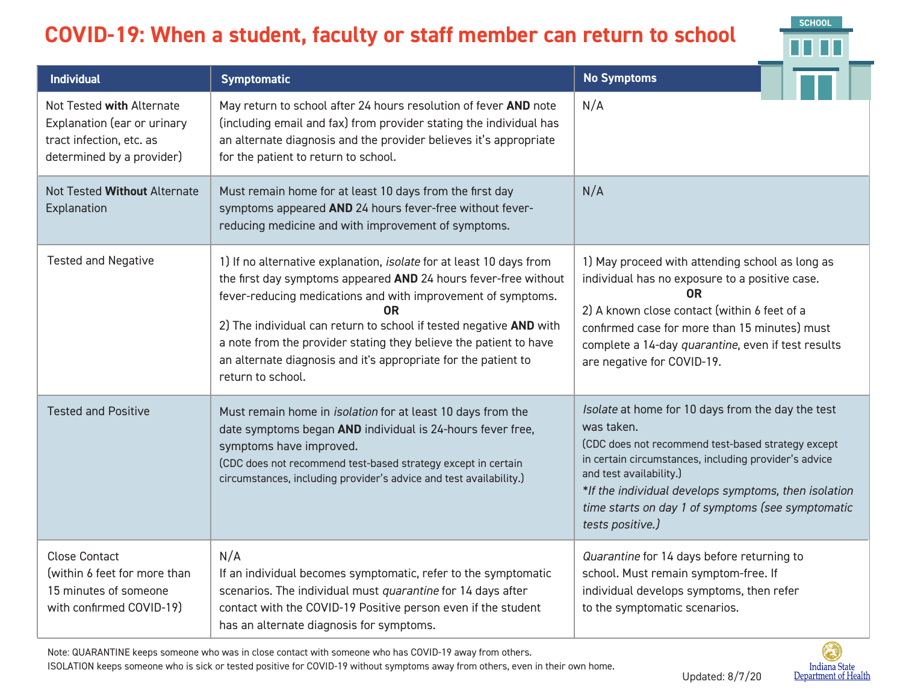## **COVID-19: When a student, faculty or staff member can return to school**



| <b>Individual</b>                                                                                                 | <b>Symptomatic</b>                                                                                                                                                                                                                                                                                                                                                                                                                             | <b>No Symptoms</b>                                                                                                                                                                                                                                                                                                                         |
|-------------------------------------------------------------------------------------------------------------------|------------------------------------------------------------------------------------------------------------------------------------------------------------------------------------------------------------------------------------------------------------------------------------------------------------------------------------------------------------------------------------------------------------------------------------------------|--------------------------------------------------------------------------------------------------------------------------------------------------------------------------------------------------------------------------------------------------------------------------------------------------------------------------------------------|
| Not Tested with Alternate<br>Explanation (ear or urinary<br>tract infection, etc. as<br>determined by a provider) | May return to school after 24 hours resolution of fever AND note<br>(including email and fax) from provider stating the individual has<br>an alternate diagnosis and the provider believes it's appropriate<br>for the patient to return to school.                                                                                                                                                                                            | N/A                                                                                                                                                                                                                                                                                                                                        |
| Not Tested Without Alternate<br>Explanation                                                                       | Must remain home for at least 10 days from the first day<br>symptoms appeared AND 24 hours fever-free without fever-<br>reducing medicine and with improvement of symptoms.                                                                                                                                                                                                                                                                    | N/A                                                                                                                                                                                                                                                                                                                                        |
| <b>Tested and Negative</b>                                                                                        | 1) If no alternative explanation, isolate for at least 10 days from<br>the first day symptoms appeared AND 24 hours fever-free without<br>fever-reducing medications and with improvement of symptoms.<br>0R<br>2) The individual can return to school if tested negative AND with<br>a note from the provider stating they believe the patient to have<br>an alternate diagnosis and it's appropriate for the patient to<br>return to school. | 1) May proceed with attending school as long as<br>individual has no exposure to a positive case.<br>0R<br>2) A known close contact (within 6 feet of a<br>confirmed case for more than 15 minutes) must<br>complete a 14-day quarantine, even if test results<br>are negative for COVID-19.                                               |
| <b>Tested and Positive</b>                                                                                        | Must remain home in <i>isolation</i> for at least 10 days from the<br>date symptoms began AND individual is 24-hours fever free,<br>symptoms have improved.<br>(CDC does not recommend test-based strategy except in certain<br>circumstances, including provider's advice and test availability.)                                                                                                                                             | Isolate at home for 10 days from the day the test<br>was taken.<br>(CDC does not recommend test-based strategy except<br>in certain circumstances, including provider's advice<br>and test availability.)<br>*If the individual develops symptoms, then isolation<br>time starts on day 1 of symptoms (see symptomatic<br>tests positive.) |
| <b>Close Contact</b><br>(within 6 feet for more than<br>15 minutes of someone<br>with confirmed COVID-19)         | N/A<br>If an individual becomes symptomatic, refer to the symptomatic<br>scenarios. The individual must quarantine for 14 days after<br>contact with the COVID-19 Positive person even if the student<br>has an alternate diagnosis for symptoms.                                                                                                                                                                                              | Quarantine for 14 days before returning to<br>school. Must remain symptom-free. If<br>individual develops symptoms, then refer<br>to the symptomatic scenarios.                                                                                                                                                                            |

Note: QUARANTINE keeps someone who was in close contact with someone who has COVID-19 away from others.

ISOLATION keeps someone who is sick or tested positive for COVID-19 without symptoms away from others, even in their own home.